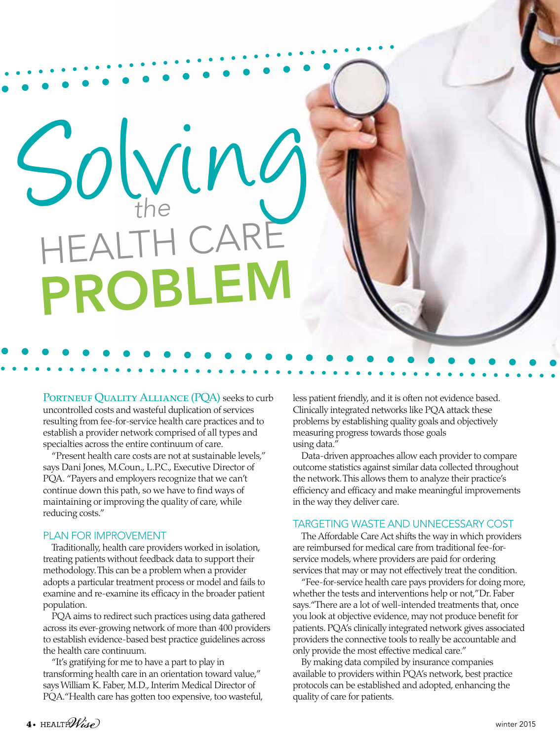PORTNEUF QUALITY ALLIANCE (PQA) seeks to curb uncontrolled costs and wasteful duplication of services resulting from fee-for-service health care practices and to establish a provider network comprised of all types and specialties across the entire continuum of care.

HEALTH CARE

PROBLEM

Solving *the*

"Present health care costs are not at sustainable levels," says Dani Jones, M.Coun., L.P.C., Executive Director of PQA. "Payers and employers recognize that we can't continue down this path, so we have to find ways of maintaining or improving the quality of care, while reducing costs."

#### PLAN FOR IMPROVEMENT

Traditionally, health care providers worked in isolation, treating patients without feedback data to support their methodology. This can be a problem when a provider adopts a particular treatment process or model and fails to examine and re-examine its efficacy in the broader patient population.

PQA aims to redirect such practices using data gathered across its ever-growing network of more than 400 providers to establish evidence-based best practice guidelines across the health care continuum.

"It's gratifying for me to have a part to play in transforming health care in an orientation toward value," says William K. Faber, M.D., Interim Medical Director of PQA. "Health care has gotten too expensive, too wasteful,

less patient friendly, and it is often not evidence based. Clinically integrated networks like PQA attack these problems by establishing quality goals and objectively measuring progress towards those goals using data."

Data-driven approaches allow each provider to compare outcome statistics against similar data collected throughout the network. This allows them to analyze their practice's efficiency and efficacy and make meaningful improvements in the way they deliver care.

#### TARGETING WASTE AND UNNECESSARY COST

The Affordable Care Act shifts the way in which providers are reimbursed for medical care from traditional fee-forservice models, where providers are paid for ordering services that may or may not effectively treat the condition.

"Fee-for-service health care pays providers for doing more, whether the tests and interventions help or not," Dr. Faber says. "There are a lot of well-intended treatments that, once you look at objective evidence, may not produce benefit for patients. PQA's clinically integrated network gives associated providers the connective tools to really be accountable and only provide the most effective medical care."

By making data compiled by insurance companies available to providers within PQA's network, best practice protocols can be established and adopted, enhancing the quality of care for patients.